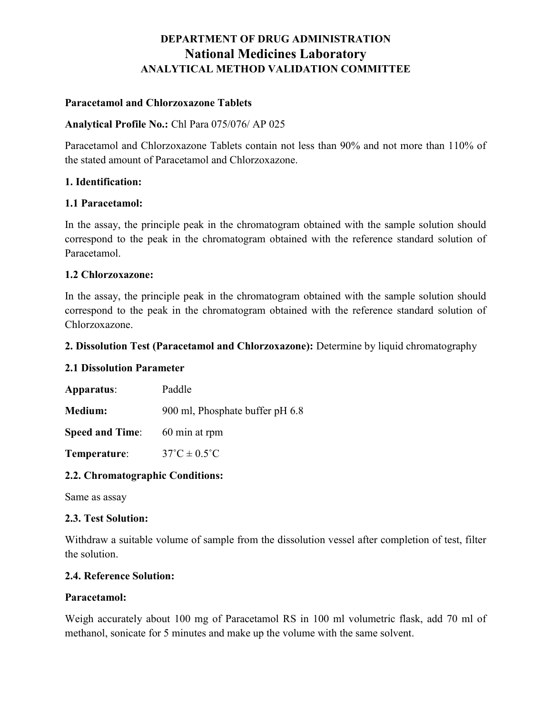# DEPARTMENT OF DRUG ADMINISTRATION National Medicines Laboratory ANALYTICAL METHOD VALIDATION COMMITTEE

# Paracetamol and Chlorzoxazone Tablets

#### Analytical Profile No.: Chl Para 075/076/ AP 025

Paracetamol and Chlorzoxazone Tablets contain not less than 90% and not more than 110% of the stated amount of Paracetamol and Chlorzoxazone.

#### 1. Identification:

## 1.1 Paracetamol:

In the assay, the principle peak in the chromatogram obtained with the sample solution should correspond to the peak in the chromatogram obtained with the reference standard solution of Paracetamol.

## 1.2 Chlorzoxazone:

In the assay, the principle peak in the chromatogram obtained with the sample solution should correspond to the peak in the chromatogram obtained with the reference standard solution of Chlorzoxazone.

## 2. Dissolution Test (Paracetamol and Chlorzoxazone): Determine by liquid chromatography

#### 2.1 Dissolution Parameter

| Apparatus:             | Paddle                          |
|------------------------|---------------------------------|
| <b>Medium:</b>         | 900 ml, Phosphate buffer pH 6.8 |
| <b>Speed and Time:</b> | 60 min at rpm                   |

Temperature:  $37^{\circ}C \pm 0.5^{\circ}C$ 

# 2.2. Chromatographic Conditions:

Same as assay

#### 2.3. Test Solution:

Withdraw a suitable volume of sample from the dissolution vessel after completion of test, filter the solution.

#### 2.4. Reference Solution:

#### Paracetamol:

Weigh accurately about 100 mg of Paracetamol RS in 100 ml volumetric flask, add 70 ml of methanol, sonicate for 5 minutes and make up the volume with the same solvent.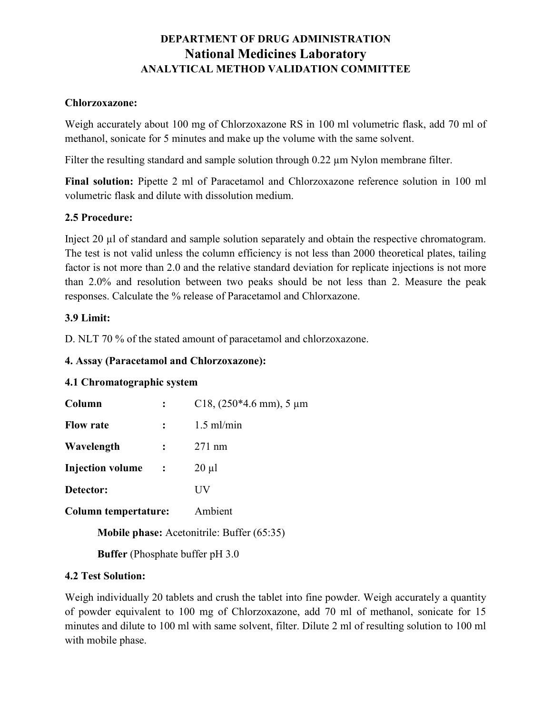# DEPARTMENT OF DRUG ADMINISTRATION National Medicines Laboratory ANALYTICAL METHOD VALIDATION COMMITTEE

## Chlorzoxazone:

Weigh accurately about 100 mg of Chlorzoxazone RS in 100 ml volumetric flask, add 70 ml of methanol, sonicate for 5 minutes and make up the volume with the same solvent.

Filter the resulting standard and sample solution through 0.22  $\mu$ m Nylon membrane filter.

Final solution: Pipette 2 ml of Paracetamol and Chlorzoxazone reference solution in 100 ml volumetric flask and dilute with dissolution medium.

# 2.5 Procedure:

Inject 20 µl of standard and sample solution separately and obtain the respective chromatogram. The test is not valid unless the column efficiency is not less than 2000 theoretical plates, tailing factor is not more than 2.0 and the relative standard deviation for replicate injections is not more than 2.0% and resolution between two peaks should be not less than 2. Measure the peak responses. Calculate the % release of Paracetamol and Chlorxazone.

# 3.9 Limit:

D. NLT 70 % of the stated amount of paracetamol and chlorzoxazone.

# 4. Assay (Paracetamol and Chlorzoxazone):

# 4.1 Chromatographic system

| Column                      |  | C18, $(250*4.6$ mm), 5 µm                                                                                                                                                           |
|-----------------------------|--|-------------------------------------------------------------------------------------------------------------------------------------------------------------------------------------|
| <b>Flow rate</b>            |  | $1.5$ ml/min                                                                                                                                                                        |
| Wavelength                  |  | $271$ nm                                                                                                                                                                            |
| <b>Injection volume</b>     |  | $20 \mu l$                                                                                                                                                                          |
| Detector:                   |  | UУ                                                                                                                                                                                  |
| <b>Column tempertature:</b> |  | Ambient                                                                                                                                                                             |
|                             |  | $\mathbf{1} \cdot \mathbf{1}$ $\mathbf{1} \cdot \mathbf{1}$ $\mathbf{1} \cdot \mathbf{1}$ $\mathbf{1} \cdot \mathbf{1}$ $\mathbf{1} \cdot \mathbf{1}$ $\mathbf{1} \cdot \mathbf{1}$ |

Mobile phase: Acetonitrile: Buffer (65:35)

Buffer (Phosphate buffer pH 3.0

# 4.2 Test Solution:

Weigh individually 20 tablets and crush the tablet into fine powder. Weigh accurately a quantity of powder equivalent to 100 mg of Chlorzoxazone, add 70 ml of methanol, sonicate for 15 minutes and dilute to 100 ml with same solvent, filter. Dilute 2 ml of resulting solution to 100 ml with mobile phase.